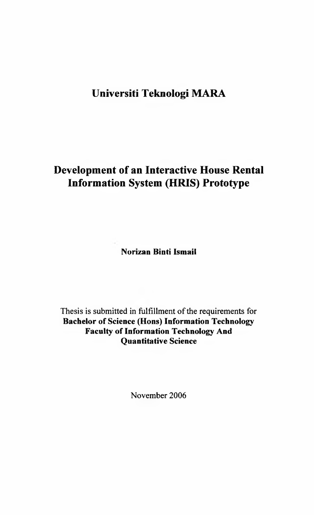## **Universiti Teknologi MARA**

# **Development of an Interactive House Rental Information System (HRIS) Prototype**

**Norizan Binti Ismail**

Thesis is submitted in fulfillment of the requirements for **Bachelor of Science (Hons) Information Technology Faculty of Information Technology And Quantitative Science**

November 2006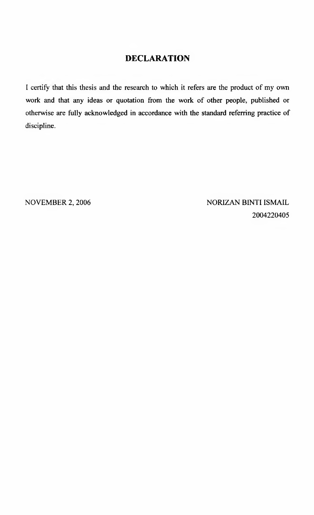### **DECLARATION**

I certify that this thesis and the research to which it refers are the product of my own work and that any ideas or quotation from the work of other people, published or otherwise are fully acknowledged in accordance with the standard referring practice of discipline.

NOVEMBER 2, 2006 NORIZAN BINTI ISMAIL 2004220405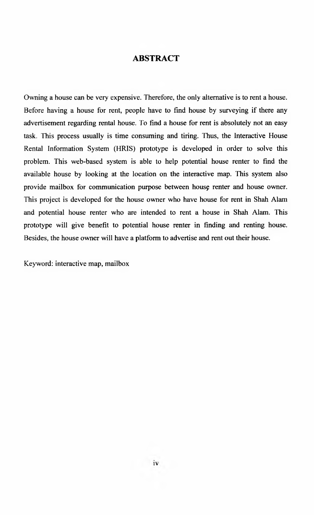#### <span id="page-2-0"></span>**ABSTRACT**

Owning a house can be very expensive. Therefore, the only alternative is to rent a house. Before having a house for rent, people have to find house by surveying if there any advertisement regarding rental house. To find a house for rent is absolutely not an easy task. This process usually is time consuming and tiring. Thus, the Interactive House Rental Information System (HRIS) prototype is developed in order to solve this problem. This web-based system is able to help potential house renter to find the available house by looking at the location on the interactive map. This system also provide mailbox for communication purpose between house renter and house owner. This project is developed for the house owner who have house for rent in Shah Alam and potential house renter who are intended to rent a house in Shah Alam. This prototype will give benefit to potential house renter in finding and renting house. Besides, the house owner will have a platform to advertise and rent out their house.

Keyword: interactive map, mailbox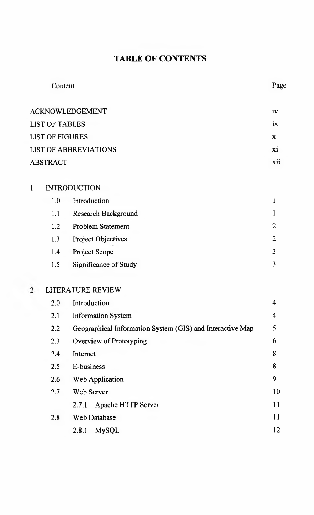# **TABLE OF CONTENTS**

|                        | Content                      |                                                           |                         |  |  |  |  |
|------------------------|------------------------------|-----------------------------------------------------------|-------------------------|--|--|--|--|
|                        | <b>ACKNOWLEDGEMENT</b>       |                                                           |                         |  |  |  |  |
|                        | <b>LIST OF TABLES</b>        |                                                           |                         |  |  |  |  |
| <b>LIST OF FIGURES</b> |                              |                                                           |                         |  |  |  |  |
|                        | <b>LIST OF ABBREVIATIONS</b> | xi                                                        |                         |  |  |  |  |
|                        | <b>ABSTRACT</b>              |                                                           |                         |  |  |  |  |
| l                      | <b>INTRODUCTION</b>          |                                                           |                         |  |  |  |  |
|                        | 1.0                          | Introduction                                              | $\mathbf{1}$            |  |  |  |  |
|                        | 1.1                          | <b>Research Background</b>                                | 1                       |  |  |  |  |
|                        | 1.2                          | <b>Problem Statement</b>                                  | $\overline{2}$          |  |  |  |  |
|                        | 1.3                          | Project Objectives                                        | $\overline{2}$          |  |  |  |  |
|                        | 1.4                          | Project Scope                                             | $\overline{\mathbf{3}}$ |  |  |  |  |
|                        | 1.5                          | Significance of Study                                     | $\overline{\mathbf{3}}$ |  |  |  |  |
| $\overline{2}$         |                              | <b>LITERATURE REVIEW</b>                                  |                         |  |  |  |  |
|                        | 2.0                          | Introduction                                              | $\overline{4}$          |  |  |  |  |
|                        | 2.1                          | <b>Information System</b>                                 | $\overline{4}$          |  |  |  |  |
|                        | 2.2                          | Geographical Information System (GIS) and Interactive Map | 5                       |  |  |  |  |
|                        | 2.3                          | Overview of Prototyping                                   | 6                       |  |  |  |  |
|                        | 2.4                          | Internet                                                  | 8                       |  |  |  |  |
|                        | 2.5                          | E-business                                                | 8                       |  |  |  |  |
|                        | 2.6                          | Web Application                                           | 9                       |  |  |  |  |
|                        | 2.7                          | Web Server                                                | 10                      |  |  |  |  |
|                        |                              | Apache HTTP Server<br>2.7.1                               | 11                      |  |  |  |  |
|                        | 2.8                          | Web Database                                              | 11                      |  |  |  |  |
|                        |                              | 2.8.1<br>MySQL                                            | 12                      |  |  |  |  |